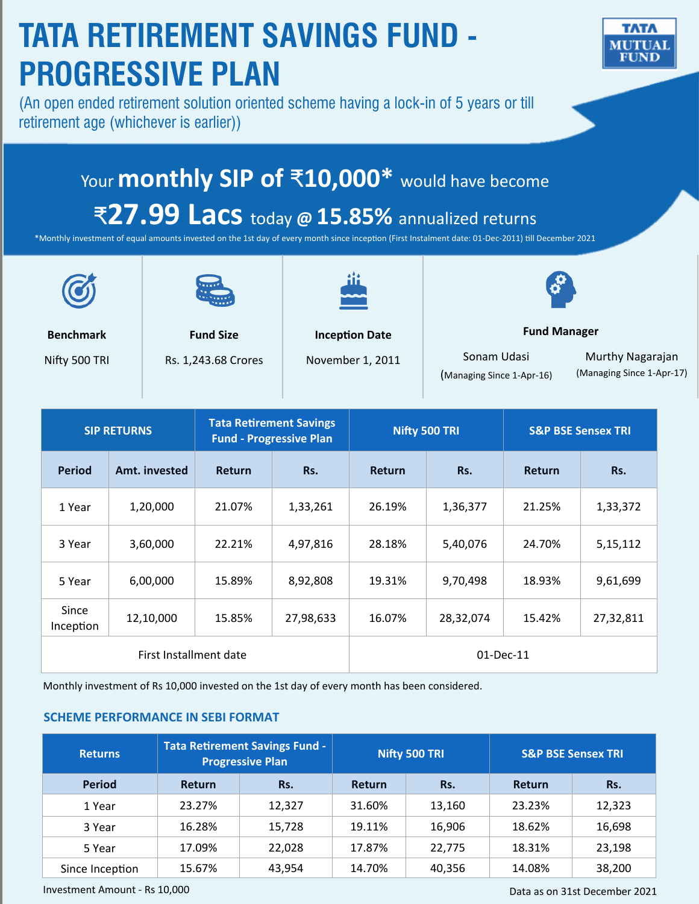# **TATA RETIREMENT SAVINGS FUND -** TATA MUTUAI **PROGRESSIVE PLAN** (An open ended retirement solution oriented scheme having a lock-in of 5 years or till retirement age (whichever is earlier)) Your **monthly SIP of** ₹**10,000\*** would have become ₹**27.99 Lacs** today **@ 15.85%** annualized returns \*Monthly investment of equal amounts invested on the 1st day of every month since inception (First Instalment date: 01-Dec-2011) till December 2021

**Benchmark**

Nifty 500 TRI

**Fund Size**

Rs. 1,243.68 Crores



**Inception Date**

November 1, 2011

Sonam Udasi (Managing Since 1-Apr-16)

**Fund Manager** 

Murthy Nagarajan (Managing Since 1-Apr-17)

| <b>SIP RETURNS</b>     |               | <b>Tata Retirement Savings</b><br><b>Fund - Progressive Plan</b> |             | Nifty 500 TRI |           | <b>S&amp;P BSE Sensex TRI</b> |            |
|------------------------|---------------|------------------------------------------------------------------|-------------|---------------|-----------|-------------------------------|------------|
| <b>Period</b>          | Amt. invested | <b>Return</b>                                                    | Rs.         | <b>Return</b> | Rs.       | <b>Return</b>                 | Rs.        |
| 1 Year                 | 1,20,000      | 21.07%                                                           | 1,33,261    | 26.19%        | 1,36,377  | 21.25%                        | 1,33,372   |
| 3 Year                 | 3,60,000      | 22.21%                                                           | 4,97,816    | 28.18%        | 5,40,076  | 24.70%                        | 5, 15, 112 |
| 5 Year                 | 6,00,000      | 15.89%                                                           | 8,92,808    | 19.31%        | 9,70,498  | 18.93%                        | 9,61,699   |
| Since<br>Inception     | 12,10,000     | 15.85%                                                           | 27,98,633   | 16.07%        | 28,32,074 | 15.42%                        | 27,32,811  |
| First Installment date |               |                                                                  | $01-Dec-11$ |               |           |                               |            |

Monthly investment of Rs 10,000 invested on the 1st day of every month has been considered.

### **SCHEME PERFORMANCE IN SEBI FORMAT**

| <b>Returns</b>  | <b>Tata Retirement Savings Fund -</b><br><b>Progressive Plan</b> |        | Nifty 500 TRI |        | <b>S&amp;P BSE Sensex TRI</b> |        |  |
|-----------------|------------------------------------------------------------------|--------|---------------|--------|-------------------------------|--------|--|
| <b>Period</b>   | <b>Return</b>                                                    | Rs.    | <b>Return</b> | Rs.    | <b>Return</b>                 | Rs.    |  |
| 1 Year          | 23.27%                                                           | 12.327 | 31.60%        | 13.160 | 23.23%                        | 12,323 |  |
| 3 Year          | 16.28%                                                           | 15,728 | 19.11%        | 16,906 | 18.62%                        | 16,698 |  |
| 5 Year          | 17.09%                                                           | 22,028 | 17.87%        | 22,775 | 18.31%                        | 23,198 |  |
| Since Inception | 15.67%                                                           | 43,954 | 14.70%        | 40,356 | 14.08%                        | 38,200 |  |

Investment Amount - Rs 10,000

Data as on 31st December 2021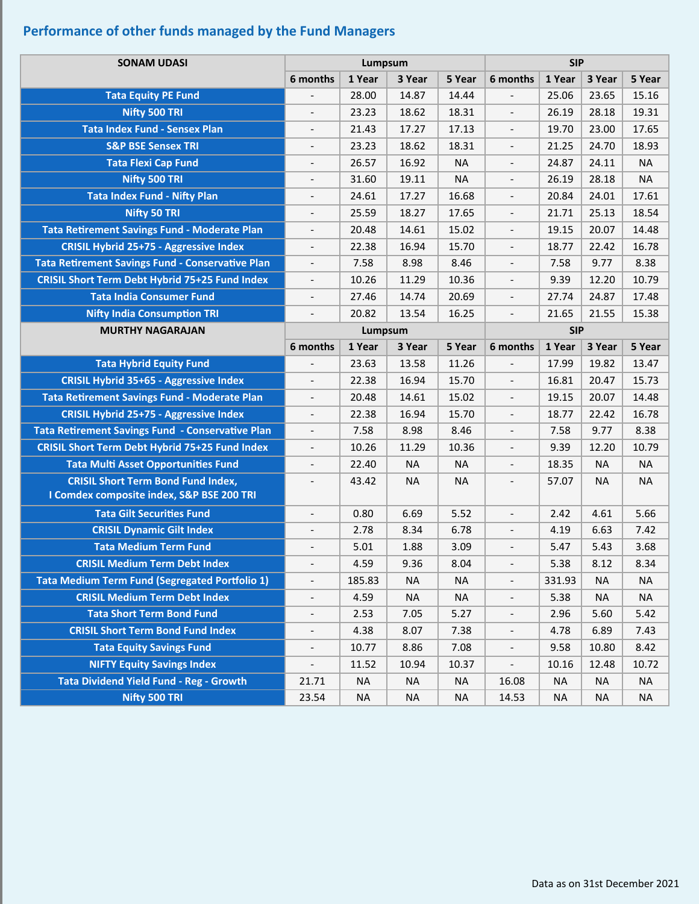## **Performance of other funds managed by the Fund Managers**

| <b>SONAM UDASI</b>                                    | Lumpsum                      |           |           |           | <b>SIP</b>               |           |           |           |
|-------------------------------------------------------|------------------------------|-----------|-----------|-----------|--------------------------|-----------|-----------|-----------|
|                                                       | 6 months                     | 1 Year    | 3 Year    | 5 Year    | 6 months                 | 1 Year    | 3 Year    | 5 Year    |
| <b>Tata Equity PE Fund</b>                            |                              | 28.00     | 14.87     | 14.44     | $\overline{\phantom{a}}$ | 25.06     | 23.65     | 15.16     |
| Nifty 500 TRI                                         |                              | 23.23     | 18.62     | 18.31     | $\overline{\phantom{a}}$ | 26.19     | 28.18     | 19.31     |
| <b>Tata Index Fund - Sensex Plan</b>                  | $\overline{\phantom{m}}$     | 21.43     | 17.27     | 17.13     | $\overline{\phantom{a}}$ | 19.70     | 23.00     | 17.65     |
| <b>S&amp;P BSE Sensex TRI</b>                         |                              | 23.23     | 18.62     | 18.31     |                          | 21.25     | 24.70     | 18.93     |
| <b>Tata Flexi Cap Fund</b>                            | $\qquad \qquad \blacksquare$ | 26.57     | 16.92     | <b>NA</b> | $\overline{\phantom{a}}$ | 24.87     | 24.11     | <b>NA</b> |
| Nifty 500 TRI                                         |                              | 31.60     | 19.11     | <b>NA</b> | $\overline{\phantom{a}}$ | 26.19     | 28.18     | <b>NA</b> |
| <b>Tata Index Fund - Nifty Plan</b>                   | $\overline{\phantom{a}}$     | 24.61     | 17.27     | 16.68     | $\overline{\phantom{a}}$ | 20.84     | 24.01     | 17.61     |
| Nifty 50 TRI                                          |                              | 25.59     | 18.27     | 17.65     | $\overline{\phantom{a}}$ | 21.71     | 25.13     | 18.54     |
| Tata Retirement Savings Fund - Moderate Plan          |                              | 20.48     | 14.61     | 15.02     | $\overline{\phantom{a}}$ | 19.15     | 20.07     | 14.48     |
| <b>CRISIL Hybrid 25+75 - Aggressive Index</b>         | $\overline{\phantom{a}}$     | 22.38     | 16.94     | 15.70     | $\overline{\phantom{a}}$ | 18.77     | 22.42     | 16.78     |
| Tata Retirement Savings Fund - Conservative Plan      |                              | 7.58      | 8.98      | 8.46      | $\blacksquare$           | 7.58      | 9.77      | 8.38      |
| <b>CRISIL Short Term Debt Hybrid 75+25 Fund Index</b> | $\overline{\phantom{0}}$     | 10.26     | 11.29     | 10.36     | $\overline{\phantom{a}}$ | 9.39      | 12.20     | 10.79     |
| <b>Tata India Consumer Fund</b>                       |                              | 27.46     | 14.74     | 20.69     |                          | 27.74     | 24.87     | 17.48     |
| <b>Nifty India Consumption TRI</b>                    |                              | 20.82     | 13.54     | 16.25     | $\overline{\phantom{a}}$ | 21.65     | 21.55     | 15.38     |
| <b>MURTHY NAGARAJAN</b>                               |                              | Lumpsum   |           |           | <b>SIP</b>               |           |           |           |
|                                                       | 6 months                     | 1 Year    | 3 Year    | 5 Year    | 6 months                 | 1 Year    | 3 Year    | 5 Year    |
| <b>Tata Hybrid Equity Fund</b>                        |                              | 23.63     | 13.58     | 11.26     | $\overline{a}$           | 17.99     | 19.82     | 13.47     |
| <b>CRISIL Hybrid 35+65 - Aggressive Index</b>         | $\overline{a}$               | 22.38     | 16.94     | 15.70     | $\overline{\phantom{a}}$ | 16.81     | 20.47     | 15.73     |
| Tata Retirement Savings Fund - Moderate Plan          | $\overline{\phantom{a}}$     | 20.48     | 14.61     | 15.02     | $\overline{\phantom{a}}$ | 19.15     | 20.07     | 14.48     |
| <b>CRISIL Hybrid 25+75 - Aggressive Index</b>         |                              | 22.38     | 16.94     | 15.70     | $\blacksquare$           | 18.77     | 22.42     | 16.78     |
| Tata Retirement Savings Fund - Conservative Plan      | $\overline{\phantom{a}}$     | 7.58      | 8.98      | 8.46      | $\overline{\phantom{a}}$ | 7.58      | 9.77      | 8.38      |
| <b>CRISIL Short Term Debt Hybrid 75+25 Fund Index</b> |                              | 10.26     | 11.29     | 10.36     |                          | 9.39      | 12.20     | 10.79     |
| <b>Tata Multi Asset Opportunities Fund</b>            | $\overline{\phantom{a}}$     | 22.40     | <b>NA</b> | <b>NA</b> | $\overline{\phantom{a}}$ | 18.35     | <b>NA</b> | <b>NA</b> |
| <b>CRISIL Short Term Bond Fund Index,</b>             |                              | 43.42     | <b>NA</b> | <b>NA</b> |                          | 57.07     | <b>NA</b> | <b>NA</b> |
| I Comdex composite index, S&P BSE 200 TRI             |                              |           |           |           |                          |           |           |           |
| <b>Tata Gilt Securities Fund</b>                      | $\overline{\phantom{a}}$     | 0.80      | 6.69      | 5.52      | $\overline{\phantom{a}}$ | 2.42      | 4.61      | 5.66      |
| <b>CRISIL Dynamic Gilt Index</b>                      |                              | 2.78      | 8.34      | 6.78      | $\overline{\phantom{a}}$ | 4.19      | 6.63      | 7.42      |
| <b>Tata Medium Term Fund</b>                          | $\overline{\phantom{a}}$     | 5.01      | 1.88      | 3.09      | $\overline{\phantom{a}}$ | 5.47      | 5.43      | 3.68      |
| <b>CRISIL Medium Term Debt Index</b>                  |                              | 4.59      | 9.36      | 8.04      |                          | 5.38      | 8.12      | 8.34      |
| <b>Tata Medium Term Fund (Segregated Portfolio 1)</b> | $\overline{\phantom{0}}$     | 185.83    | <b>NA</b> | NA        | $\overline{\phantom{a}}$ | 331.93    | <b>NA</b> | <b>NA</b> |
| <b>CRISIL Medium Term Debt Index</b>                  |                              | 4.59      | <b>NA</b> | <b>NA</b> | $\overline{\phantom{a}}$ | 5.38      | <b>NA</b> | <b>NA</b> |
| <b>Tata Short Term Bond Fund</b>                      | -                            | 2.53      | 7.05      | 5.27      | $\overline{\phantom{a}}$ | 2.96      | 5.60      | 5.42      |
| <b>CRISIL Short Term Bond Fund Index</b>              | $\overline{\phantom{a}}$     | 4.38      | 8.07      | 7.38      | $\overline{\phantom{a}}$ | 4.78      | 6.89      | 7.43      |
| <b>Tata Equity Savings Fund</b>                       | $\overline{\phantom{0}}$     | 10.77     | 8.86      | 7.08      | $\overline{\phantom{a}}$ | 9.58      | 10.80     | 8.42      |
| <b>NIFTY Equity Savings Index</b>                     | $\overline{\phantom{a}}$     | 11.52     | 10.94     | 10.37     | $\blacksquare$           | 10.16     | 12.48     | 10.72     |
| <b>Tata Dividend Yield Fund - Reg - Growth</b>        | 21.71                        | <b>NA</b> | <b>NA</b> | <b>NA</b> | 16.08                    | <b>NA</b> | <b>NA</b> | <b>NA</b> |
| Nifty 500 TRI                                         | 23.54                        | <b>NA</b> | <b>NA</b> | <b>NA</b> | 14.53                    | <b>NA</b> | <b>NA</b> | <b>NA</b> |